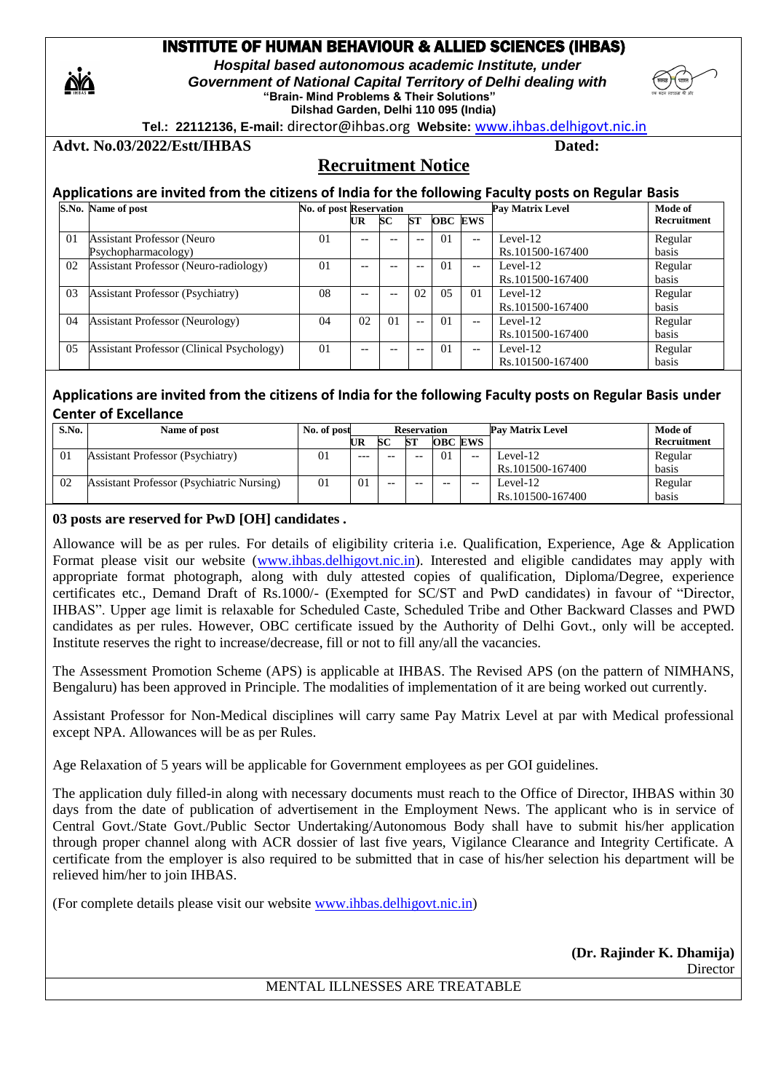## INSTITUTE OF HUMAN BEHAVIOUR & ALLIED SCIENCES (IHBAS)

 *Hospital based autonomous academic Institute, under Government of National Capital Territory of Delhi dealing with*  **"Brain- Mind Problems & Their Solutions" Dilshad Garden, Delhi 110 095 (India)** 

 **Tel.: 22112136, E-mail:** director@ihbas.org **Website:** [www.ihbas.delhigovt.nic.in](http://www.ihbas.delhigovt.nic.in/)



Advt. No.03/2022/Estt/IHBAS Dated:

# **Recruitment Notice**

|    | Applications are invited from the citizens of India for the following Faculty posts on Regular Basis |                                |     |                |     |                |       |                  |             |
|----|------------------------------------------------------------------------------------------------------|--------------------------------|-----|----------------|-----|----------------|-------|------------------|-------------|
|    | S.No. Name of post                                                                                   | <b>No. of post Reservation</b> |     |                |     |                |       | Pav Matrix Level | Mode of     |
|    |                                                                                                      |                                | UR  | SC             | SТ  | <b>OBC EWS</b> |       |                  | Recruitment |
| 01 | <b>Assistant Professor (Neuro</b>                                                                    | 01                             | $-$ |                | $-$ | 0 <sub>1</sub> | $- -$ | Level-12         | Regular     |
|    | Psychopharmacology)                                                                                  |                                |     |                |     |                |       | Rs.101500-167400 | basis       |
| 02 | Assistant Professor (Neuro-radiology)                                                                | 01                             | $-$ |                |     | $\Omega$       | $- -$ | Level-12         | Regular     |
|    |                                                                                                      |                                |     |                |     |                |       | Rs.101500-167400 | basis       |
| 03 | <b>Assistant Professor (Psychiatry)</b>                                                              | 08                             | $-$ |                | 02  | 0.5            | 01    | Level- $12$      | Regular     |
|    |                                                                                                      |                                |     |                |     |                |       | Rs.101500-167400 | basis       |
| 04 | <b>Assistant Professor (Neurology)</b>                                                               | 04                             | 02  | 0 <sub>1</sub> | $-$ | 0 <sub>1</sub> | $-$   | Level-12         | Regular     |
|    |                                                                                                      |                                |     |                |     |                |       | Rs.101500-167400 | basis       |
| 05 | <b>Assistant Professor (Clinical Psychology)</b>                                                     | 01                             | $-$ |                |     | 0 <sub>1</sub> | $- -$ | Level-12         | Regular     |
|    |                                                                                                      |                                |     |                |     |                |       | Rs.101500-167400 | basis       |

## **Applications are invited from the citizens of India for the following Faculty posts on Regular Basis under Center of Excellance**

| S.No. | Name of post                                     | No. of post |       |       | <b>Reservation</b> |                |       | <b>Pav Matrix Level</b> | Mode of     |
|-------|--------------------------------------------------|-------------|-------|-------|--------------------|----------------|-------|-------------------------|-------------|
|       |                                                  |             | UR    | SС    | SТ                 | <b>OBC EWS</b> |       |                         | Recruitment |
| 01    | <b>Assistant Professor (Psychiatry)</b>          | $_{01}$     | $---$ | --    | --                 | 0 <sub>1</sub> | $- -$ | Level-12                | Regular     |
|       |                                                  |             |       |       |                    |                |       | Rs.101500-167400        | basis       |
| 02    | <b>Assistant Professor (Psychiatric Nursing)</b> | 01          | 01    | $- -$ | $- -$              | $- -$          | $- -$ | Level-12                | Regular     |
|       |                                                  |             |       |       |                    |                |       | Rs.101500-167400        | basis       |

#### **03 posts are reserved for PwD [OH] candidates .**

Allowance will be as per rules. For details of eligibility criteria i.e. Qualification, Experience, Age & Application Format please visit our website [\(www.ihbas.delhigovt.nic.in\)](http://www.ihbas.delhigovt.nic.in/). Interested and eligible candidates may apply with appropriate format photograph, along with duly attested copies of qualification, Diploma/Degree, experience certificates etc., Demand Draft of Rs.1000/- (Exempted for SC/ST and PwD candidates) in favour of "Director, IHBAS". Upper age limit is relaxable for Scheduled Caste, Scheduled Tribe and Other Backward Classes and PWD candidates as per rules. However, OBC certificate issued by the Authority of Delhi Govt., only will be accepted. Institute reserves the right to increase/decrease, fill or not to fill any/all the vacancies.

The Assessment Promotion Scheme (APS) is applicable at IHBAS. The Revised APS (on the pattern of NIMHANS, Bengaluru) has been approved in Principle. The modalities of implementation of it are being worked out currently.

Assistant Professor for Non-Medical disciplines will carry same Pay Matrix Level at par with Medical professional except NPA. Allowances will be as per Rules.

Age Relaxation of 5 years will be applicable for Government employees as per GOI guidelines.

The application duly filled-in along with necessary documents must reach to the Office of Director, IHBAS within 30 days from the date of publication of advertisement in the Employment News. The applicant who is in service of Central Govt./State Govt./Public Sector Undertaking/Autonomous Body shall have to submit his/her application through proper channel along with ACR dossier of last five years, Vigilance Clearance and Integrity Certificate. A certificate from the employer is also required to be submitted that in case of his/her selection his department will be relieved him/her to join IHBAS.

(For complete details please visit our website [www.ihbas.delhigovt.nic.in\)](http://www.ihbas.delhigovt.nic.in/)

**(Dr. Rajinder K. Dhamija) Director** 

MENTAL ILLNESSES ARE TREATABLE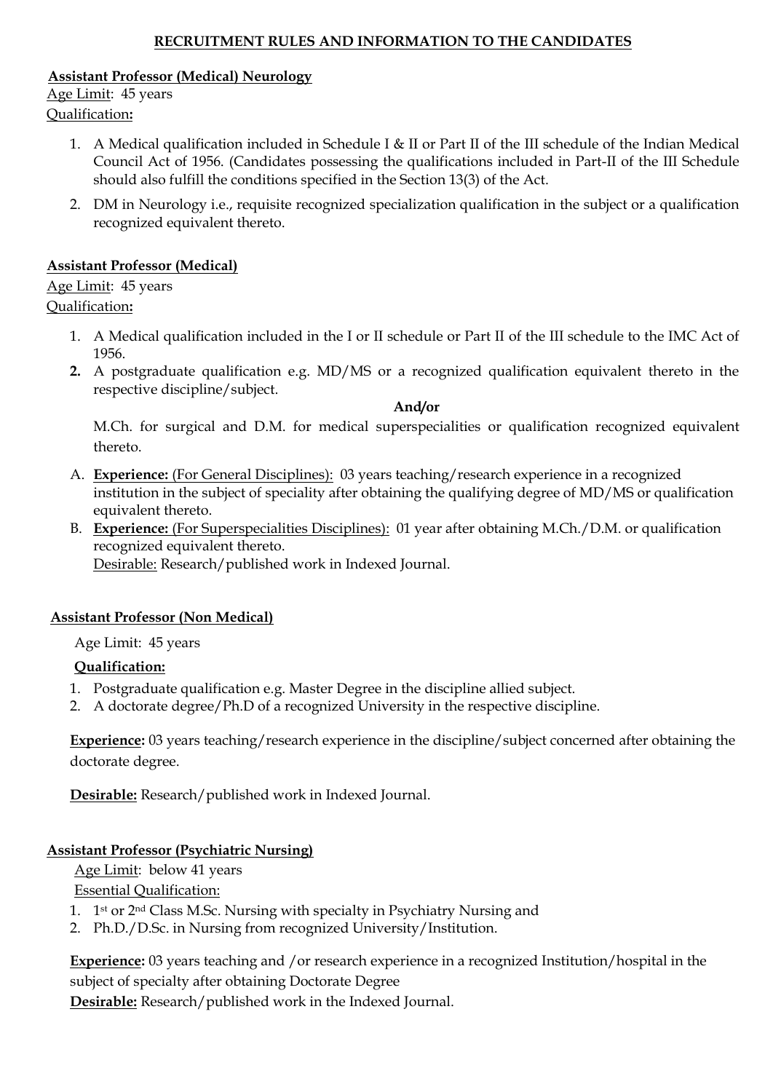## **RECRUITMENT RULES AND INFORMATION TO THE CANDIDATES**

## **Assistant Professor (Medical) Neurology**

Age Limit: 45 years Qualification**:**

- 1. A Medical qualification included in Schedule I & II or Part II of the III schedule of the Indian Medical Council Act of 1956. (Candidates possessing the qualifications included in Part-II of the III Schedule should also fulfill the conditions specified in the Section 13(3) of the Act.
- 2. DM in Neurology i.e., requisite recognized specialization qualification in the subject or a qualification recognized equivalent thereto.

## **Assistant Professor (Medical)**

Age Limit: 45 years Qualification**:**

- 1. A Medical qualification included in the I or II schedule or Part II of the III schedule to the IMC Act of 1956.
- **2.** A postgraduate qualification e.g. MD/MS or a recognized qualification equivalent thereto in the respective discipline/subject.

#### **And/or**

M.Ch. for surgical and D.M. for medical superspecialities or qualification recognized equivalent thereto.

- A. **Experience:** (For General Disciplines): 03 years teaching/research experience in a recognized institution in the subject of speciality after obtaining the qualifying degree of MD/MS or qualification equivalent thereto.
- B. **Experience:** (For Superspecialities Disciplines): 01 year after obtaining M.Ch./D.M. or qualification recognized equivalent thereto.

Desirable: Research/published work in Indexed Journal.

## **Assistant Professor (Non Medical)**

Age Limit: 45 years

## **Qualification:**

- 1. Postgraduate qualification e.g. Master Degree in the discipline allied subject.
- 2. A doctorate degree/Ph.D of a recognized University in the respective discipline.

**Experience:** 03 years teaching/research experience in the discipline/subject concerned after obtaining the doctorate degree.

**Desirable:** Research/published work in Indexed Journal.

# **Assistant Professor (Psychiatric Nursing)**

Age Limit: below 41 years

Essential Qualification:

- 1. 1<sup>st</sup> or 2<sup>nd</sup> Class M.Sc. Nursing with specialty in Psychiatry Nursing and
- 2. Ph.D./D.Sc. in Nursing from recognized University/Institution.

**Experience:** 03 years teaching and /or research experience in a recognized Institution/hospital in the subject of specialty after obtaining Doctorate Degree **Desirable:** Research/published work in the Indexed Journal.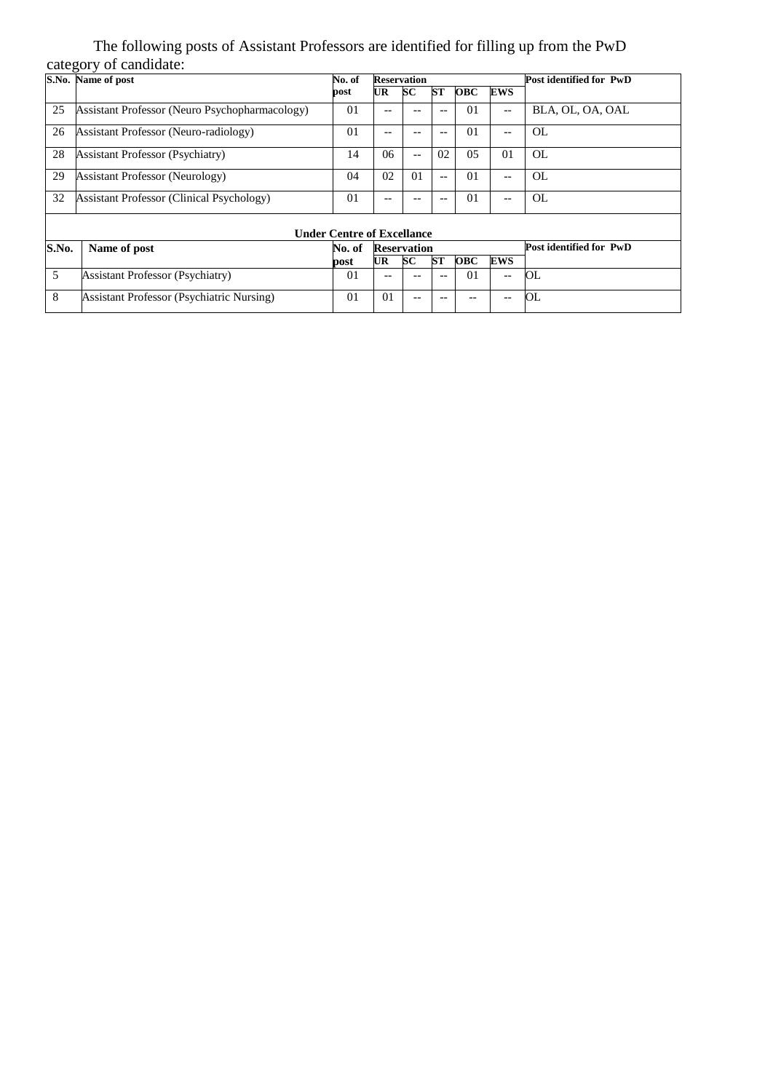### The following posts of Assistant Professors are identified for filling up from the PwD category of candidate:

|       | S.No. Name of post                               | No. of                            | <b>Reservation</b> |                |           |                |                          | Post identified for PwD |
|-------|--------------------------------------------------|-----------------------------------|--------------------|----------------|-----------|----------------|--------------------------|-------------------------|
|       |                                                  |                                   |                    |                | <b>ST</b> | <b>OBC</b>     |                          |                         |
|       |                                                  | post                              | UR                 | <b>SC</b>      |           |                | EWS                      |                         |
| 25    | Assistant Professor (Neuro Psychopharmacology)   | 01                                | $-$                |                |           | 01             | $\overline{\phantom{a}}$ | BLA, OL, OA, OAL        |
| 26    | Assistant Professor (Neuro-radiology)            | 01                                | --                 | --             | $-$       | 01             | $\qquad \qquad -$        | OL                      |
| 28    | <b>Assistant Professor (Psychiatry)</b>          | 14                                | 06                 | $-$            | 02        | 05             | 01                       | OL                      |
| 29    | <b>Assistant Professor (Neurology)</b>           | 04                                | 02                 | 0 <sub>1</sub> | $-$       | 01             | $\overline{\phantom{a}}$ | OL                      |
| 32    | <b>Assistant Professor (Clinical Psychology)</b> | 01                                | $-$                |                |           | 01             | $--$                     | OL                      |
|       |                                                  | <b>Under Centre of Excellance</b> |                    |                |           |                |                          |                         |
| S.No. | Name of post                                     | No. of                            | <b>Reservation</b> |                |           |                |                          | Post identified for PwD |
|       |                                                  | post                              | UR.                | <b>SC</b>      | <b>ST</b> | <b>OBC</b>     | EWS                      |                         |
| 5     | <b>Assistant Professor (Psychiatry)</b>          | 0 <sub>1</sub>                    | --                 |                |           | 0 <sub>1</sub> | $\qquad \qquad -$        | OL                      |
| 8     | <b>Assistant Professor (Psychiatric Nursing)</b> | 01                                | 01                 | --             |           | --             | $-\,-$                   | OL                      |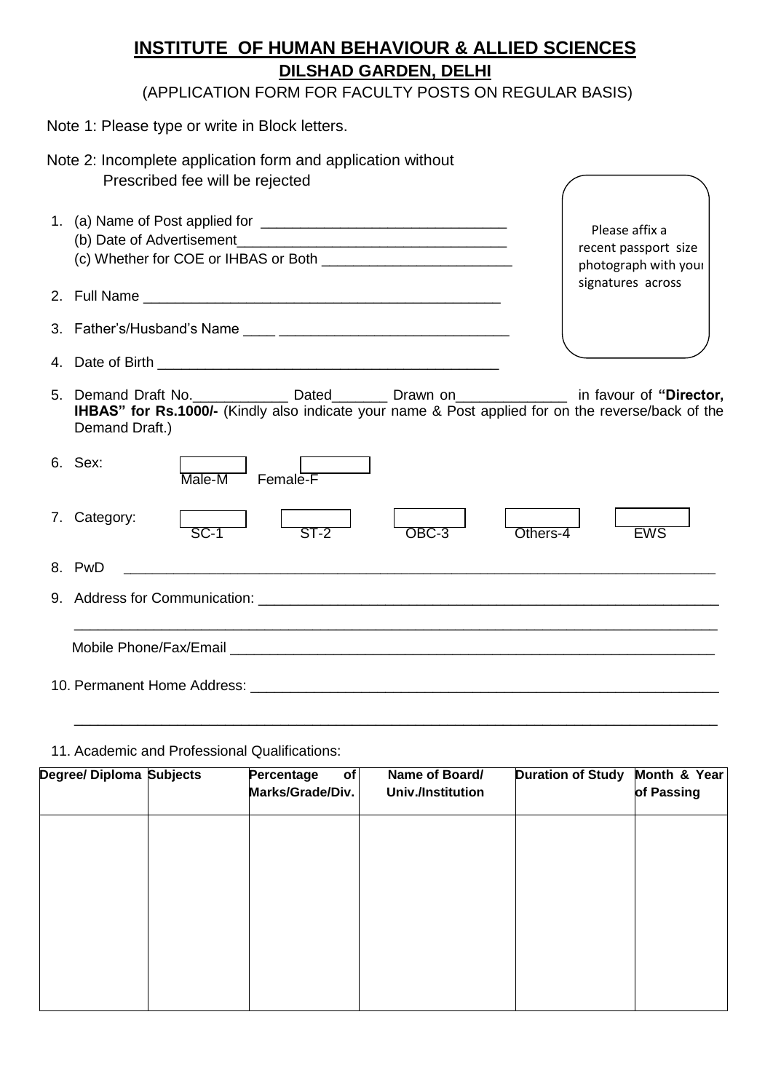# **INSTITUTE OF HUMAN BEHAVIOUR & ALLIED SCIENCES DILSHAD GARDEN, DELHI**

(APPLICATION FORM FOR FACULTY POSTS ON REGULAR BASIS)

|  | Note 1: Please type or write in Block letters. |  |  |
|--|------------------------------------------------|--|--|
|--|------------------------------------------------|--|--|

| Note 2: Incomplete application form and application without<br>Prescribed fee will be rejected                                                                                                                |                                                                                     |
|---------------------------------------------------------------------------------------------------------------------------------------------------------------------------------------------------------------|-------------------------------------------------------------------------------------|
|                                                                                                                                                                                                               | Please affix a<br>recent passport size<br>photograph with your<br>signatures across |
|                                                                                                                                                                                                               |                                                                                     |
|                                                                                                                                                                                                               |                                                                                     |
|                                                                                                                                                                                                               |                                                                                     |
| 5. Demand Draft No. Note that the Dated Drawn on the contract in favour of "Director,<br>IHBAS" for Rs.1000/- (Kindly also indicate your name & Post applied for on the reverse/back of the<br>Demand Draft.) |                                                                                     |
| 6. Sex:<br>Male-M<br>Female-F                                                                                                                                                                                 |                                                                                     |
| 7. Category:<br>$SC-1$<br>$ST-2$<br>OBC-3<br>Others-4                                                                                                                                                         | <b>EWS</b>                                                                          |
| 8. PwD                                                                                                                                                                                                        |                                                                                     |
|                                                                                                                                                                                                               |                                                                                     |
|                                                                                                                                                                                                               |                                                                                     |
|                                                                                                                                                                                                               |                                                                                     |

#### 11. Academic and Professional Qualifications:

| <b>Percentage</b><br>of<br>Marks/Grade/Div. | Name of Board/<br><b>Univ./Institution</b> | <b>Duration of Study</b> | Month & Year<br>of Passing |
|---------------------------------------------|--------------------------------------------|--------------------------|----------------------------|
|                                             |                                            |                          |                            |
|                                             |                                            |                          |                            |
|                                             |                                            |                          |                            |
|                                             |                                            |                          |                            |
|                                             |                                            |                          |                            |

\_\_\_\_\_\_\_\_\_\_\_\_\_\_\_\_\_\_\_\_\_\_\_\_\_\_\_\_\_\_\_\_\_\_\_\_\_\_\_\_\_\_\_\_\_\_\_\_\_\_\_\_\_\_\_\_\_\_\_\_\_\_\_\_\_\_\_\_\_\_\_\_\_\_\_\_\_\_\_\_\_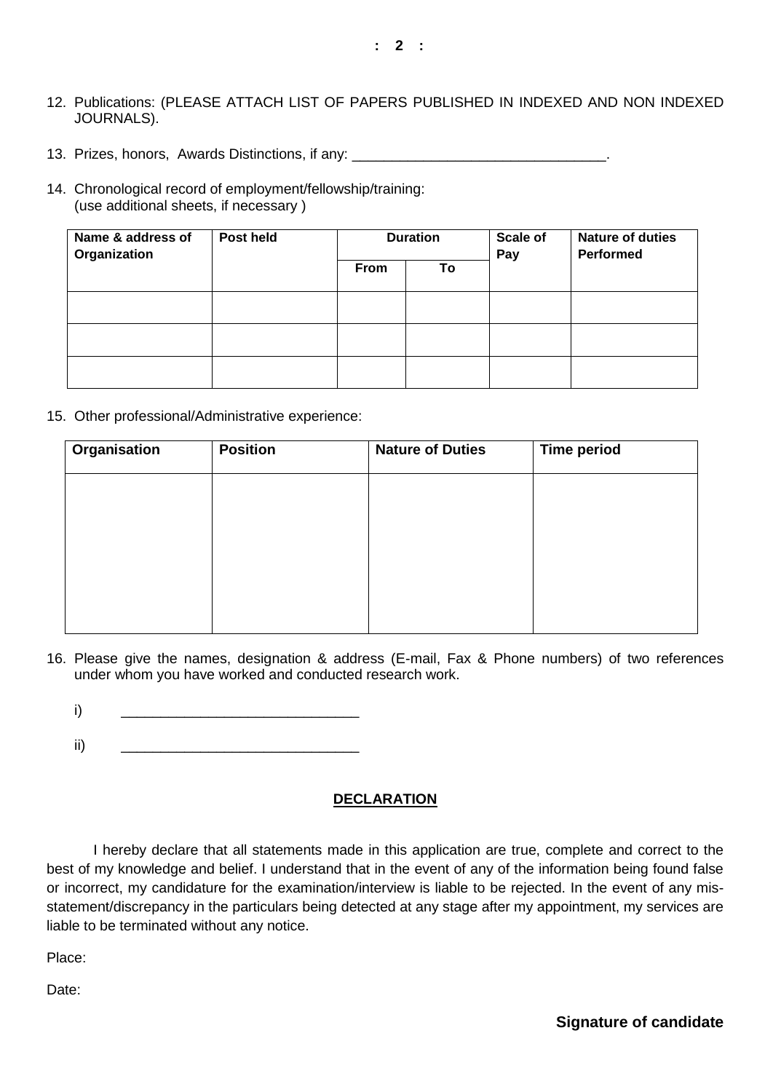- 12. Publications: (PLEASE ATTACH LIST OF PAPERS PUBLISHED IN INDEXED AND NON INDEXED JOURNALS).
- 13. Prizes, honors, Awards Distinctions, if any:
- 14. Chronological record of employment/fellowship/training: (use additional sheets, if necessary )

| Name & address of<br>Organization | Post held |      | <b>Duration</b> | <b>Scale of</b><br>Pay | <b>Nature of duties</b><br><b>Performed</b> |
|-----------------------------------|-----------|------|-----------------|------------------------|---------------------------------------------|
|                                   |           | From | To              |                        |                                             |
|                                   |           |      |                 |                        |                                             |
|                                   |           |      |                 |                        |                                             |
|                                   |           |      |                 |                        |                                             |

15. Other professional/Administrative experience:

| <b>Organisation</b> | <b>Position</b> | <b>Nature of Duties</b> | <b>Time period</b> |  |
|---------------------|-----------------|-------------------------|--------------------|--|
|                     |                 |                         |                    |  |
|                     |                 |                         |                    |  |
|                     |                 |                         |                    |  |
|                     |                 |                         |                    |  |
|                     |                 |                         |                    |  |
|                     |                 |                         |                    |  |
|                     |                 |                         |                    |  |

- 16. Please give the names, designation & address (E-mail, Fax & Phone numbers) of two references under whom you have worked and conducted research work.
	- i) \_\_\_\_\_\_\_\_\_\_\_\_\_\_\_\_\_\_\_\_\_\_\_\_\_\_\_\_\_\_
	- ii) \_\_\_\_\_\_\_\_\_\_\_\_\_\_\_\_\_\_\_\_\_\_\_\_\_\_\_\_\_\_

#### **DECLARATION**

I hereby declare that all statements made in this application are true, complete and correct to the best of my knowledge and belief. I understand that in the event of any of the information being found false or incorrect, my candidature for the examination/interview is liable to be rejected. In the event of any misstatement/discrepancy in the particulars being detected at any stage after my appointment, my services are liable to be terminated without any notice.

Place:

Date:

**Signature of candidate**